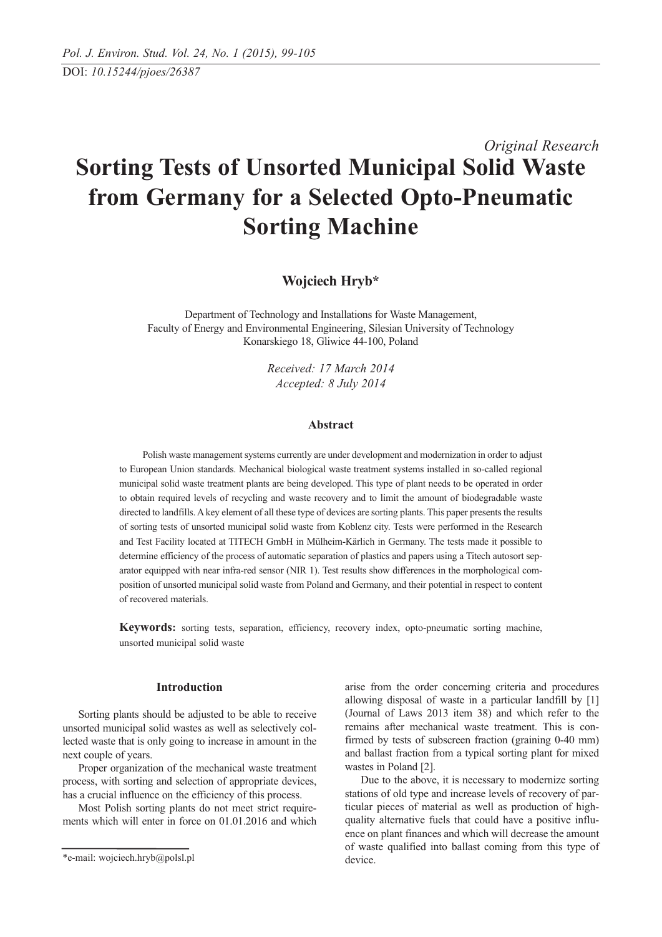# *Original Research* **Sorting Tests of Unsorted Municipal Solid Waste from Germany for a Selected Opto-Pneumatic Sorting Machine**

**Wojciech Hryb\***

Department of Technology and Installations for Waste Management, Faculty of Energy and Environmental Engineering, Silesian University of Technology Konarskiego 18, Gliwice 44-100, Poland

> *Received: 17 March 2014 Accepted: 8 July 2014*

## **Abstract**

Polish waste management systems currently are under development and modernization in order to adjust to European Union standards. Mechanical biological waste treatment systems installed in so-called regional municipal solid waste treatment plants are being developed. This type of plant needs to be operated in order to obtain required levels of recycling and waste recovery and to limit the amount of biodegradable waste directed to landfills. A key element of all these type of devices are sorting plants. This paper presents the results of sorting tests of unsorted municipal solid waste from Koblenz city. Tests were performed in the Research and Test Facility located at TITECH GmbH in Mülheim-Kärlich in Germany. The tests made it possible to determine efficiency of the process of automatic separation of plastics and papers using a Titech autosort separator equipped with near infra-red sensor (NIR 1). Test results show differences in the morphological composition of unsorted municipal solid waste from Poland and Germany, and their potential in respect to content of recovered materials.

**Keywords:** sorting tests, separation, efficiency, recovery index, opto-pneumatic sorting machine, unsorted municipal solid waste

#### **Introduction**

Sorting plants should be adjusted to be able to receive unsorted municipal solid wastes as well as selectively collected waste that is only going to increase in amount in the next couple of years.

Proper organization of the mechanical waste treatment process, with sorting and selection of appropriate devices, has a crucial influence on the efficiency of this process.

Most Polish sorting plants do not meet strict requirements which will enter in force on 01.01.2016 and which arise from the order concerning criteria and procedures allowing disposal of waste in a particular landfill by [1] (Journal of Laws 2013 item 38) and which refer to the remains after mechanical waste treatment. This is confirmed by tests of subscreen fraction (graining 0-40 mm) and ballast fraction from a typical sorting plant for mixed wastes in Poland [2].

Due to the above, it is necessary to modernize sorting stations of old type and increase levels of recovery of particular pieces of material as well as production of highquality alternative fuels that could have a positive influence on plant finances and which will decrease the amount of waste qualified into ballast coming from this type of device.

<sup>\*</sup>e-mail: wojciech.hryb@polsl.pl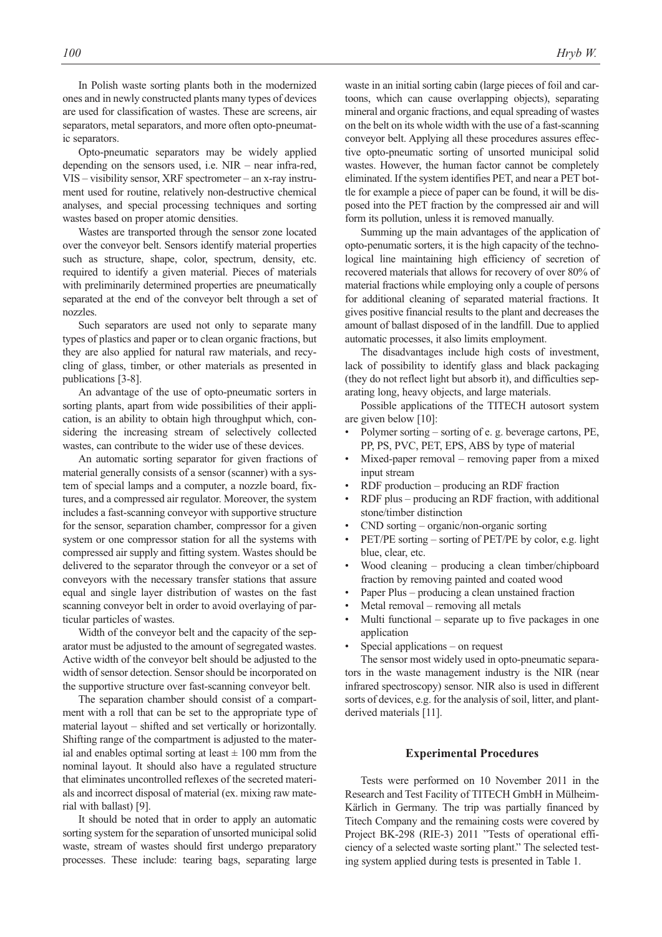In Polish waste sorting plants both in the modernized ones and in newly constructed plants many types of devices are used for classification of wastes. These are screens, air separators, metal separators, and more often opto-pneumatic separators.

Opto-pneumatic separators may be widely applied depending on the sensors used, i.e. NIR – near infra-red, VIS – visibility sensor, XRF spectrometer – an x-ray instrument used for routine, relatively non-destructive chemical analyses, and special processing techniques and sorting wastes based on proper atomic densities.

Wastes are transported through the sensor zone located over the conveyor belt. Sensors identify material properties such as structure, shape, color, spectrum, density, etc. required to identify a given material. Pieces of materials with preliminarily determined properties are pneumatically separated at the end of the conveyor belt through a set of nozzles.

Such separators are used not only to separate many types of plastics and paper or to clean organic fractions, but they are also applied for natural raw materials, and recycling of glass, timber, or other materials as presented in publications [3-8].

An advantage of the use of opto-pneumatic sorters in sorting plants, apart from wide possibilities of their application, is an ability to obtain high throughput which, considering the increasing stream of selectively collected wastes, can contribute to the wider use of these devices.

An automatic sorting separator for given fractions of material generally consists of a sensor (scanner) with a system of special lamps and a computer, a nozzle board, fixtures, and a compressed air regulator. Moreover, the system includes a fast-scanning conveyor with supportive structure for the sensor, separation chamber, compressor for a given system or one compressor station for all the systems with compressed air supply and fitting system. Wastes should be delivered to the separator through the conveyor or a set of conveyors with the necessary transfer stations that assure equal and single layer distribution of wastes on the fast scanning conveyor belt in order to avoid overlaying of particular particles of wastes.

Width of the conveyor belt and the capacity of the separator must be adjusted to the amount of segregated wastes. Active width of the conveyor belt should be adjusted to the width of sensor detection. Sensor should be incorporated on the supportive structure over fast-scanning conveyor belt.

The separation chamber should consist of a compartment with a roll that can be set to the appropriate type of material layout – shifted and set vertically or horizontally. Shifting range of the compartment is adjusted to the material and enables optimal sorting at least  $\pm$  100 mm from the nominal layout. It should also have a regulated structure that eliminates uncontrolled reflexes of the secreted materials and incorrect disposal of material (ex. mixing raw material with ballast) [9].

It should be noted that in order to apply an automatic sorting system for the separation of unsorted municipal solid waste, stream of wastes should first undergo preparatory processes. These include: tearing bags, separating large waste in an initial sorting cabin (large pieces of foil and cartoons, which can cause overlapping objects), separating mineral and organic fractions, and equal spreading of wastes on the belt on its whole width with the use of a fast-scanning conveyor belt. Applying all these procedures assures effective opto-pneumatic sorting of unsorted municipal solid wastes. However, the human factor cannot be completely eliminated. If the system identifies PET, and near a PET bottle for example a piece of paper can be found, it will be disposed into the PET fraction by the compressed air and will form its pollution, unless it is removed manually.

Summing up the main advantages of the application of opto-penumatic sorters, it is the high capacity of the technological line maintaining high efficiency of secretion of recovered materials that allows for recovery of over 80% of material fractions while employing only a couple of persons for additional cleaning of separated material fractions. It gives positive financial results to the plant and decreases the amount of ballast disposed of in the landfill. Due to applied automatic processes, it also limits employment.

The disadvantages include high costs of investment, lack of possibility to identify glass and black packaging (they do not reflect light but absorb it), and difficulties separating long, heavy objects, and large materials.

Possible applications of the TITECH autosort system are given below [10]:

- Polymer sorting sorting of e. g. beverage cartons, PE, PP, PS, PVC, PET, EPS, ABS by type of material
- Mixed-paper removal removing paper from a mixed input stream
- RDF production producing an RDF fraction
- RDF plus producing an RDF fraction, with additional stone/timber distinction
- CND sorting organic/non-organic sorting
- PET/PE sorting sorting of PET/PE by color, e.g. light blue, clear, etc.
- Wood cleaning producing a clean timber/chipboard fraction by removing painted and coated wood
- Paper Plus producing a clean unstained fraction
- Metal removal removing all metals
- Multi functional separate up to five packages in one application
- $Special applications on request$

The sensor most widely used in opto-pneumatic separators in the waste management industry is the NIR (near infrared spectroscopy) sensor. NIR also is used in different sorts of devices, e.g. for the analysis of soil, litter, and plantderived materials [11].

### **Experimental Procedures**

Tests were performed on 10 November 2011 in the Research and Test Facility of TITECH GmbH in Mülheim-Kärlich in Germany. The trip was partially financed by Titech Company and the remaining costs were covered by Project BK-298 (RIE-3) 2011 "Tests of operational efficiency of a selected waste sorting plant." The selected testing system applied during tests is presented in Table 1.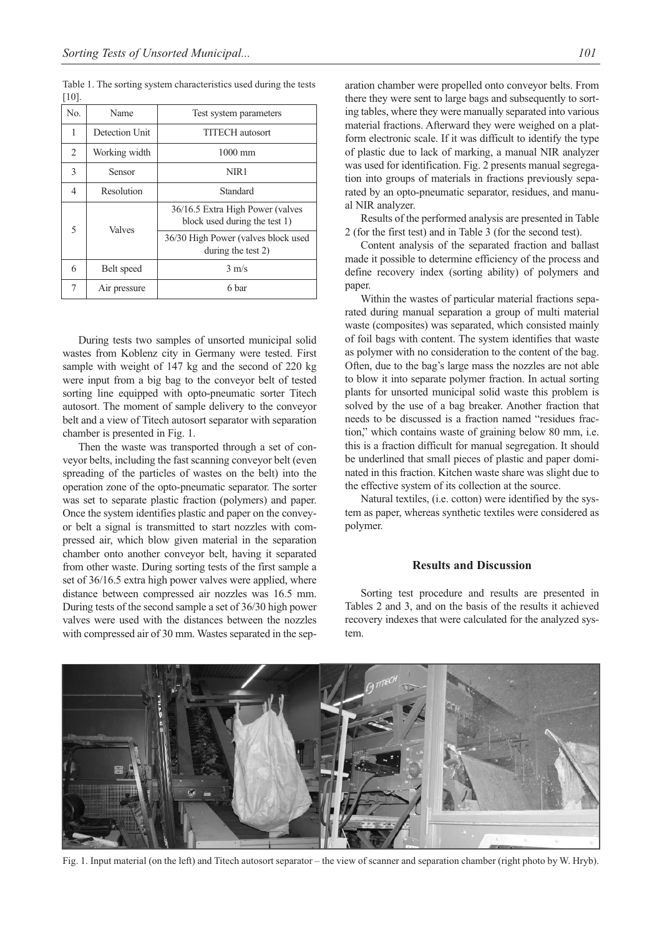| 1.01           |                |                                                                   |  |
|----------------|----------------|-------------------------------------------------------------------|--|
| N <sub>0</sub> | Name           | Test system parameters                                            |  |
| 1              | Detection Unit | <b>TITECH</b> autosort                                            |  |
| 2              | Working width  | $1000 \text{ mm}$                                                 |  |
| 3              | Sensor         | NIR <sub>1</sub>                                                  |  |
| 4              | Resolution     | Standard                                                          |  |
| 5              | Valves         | 36/16.5 Extra High Power (valves<br>block used during the test 1) |  |
|                |                | 36/30 High Power (valves block used<br>during the test 2)         |  |
| 6              | Belt speed     | $3 \text{ m/s}$                                                   |  |
| 7              | Air pressure   | 6 bar                                                             |  |

Table 1. The sorting system characteristics used during the tests  $[10]$ 

During tests two samples of unsorted municipal solid wastes from Koblenz city in Germany were tested. First sample with weight of 147 kg and the second of 220 kg were input from a big bag to the conveyor belt of tested sorting line equipped with opto-pneumatic sorter Titech autosort. The moment of sample delivery to the conveyor belt and a view of Titech autosort separator with separation chamber is presented in Fig. 1.

Then the waste was transported through a set of conveyor belts, including the fast scanning conveyor belt (even spreading of the particles of wastes on the belt) into the operation zone of the opto-pneumatic separator. The sorter was set to separate plastic fraction (polymers) and paper. Once the system identifies plastic and paper on the conveyor belt a signal is transmitted to start nozzles with compressed air, which blow given material in the separation chamber onto another conveyor belt, having it separated from other waste. During sorting tests of the first sample a set of 36/16.5 extra high power valves were applied, where distance between compressed air nozzles was 16.5 mm. During tests of the second sample a set of 36/30 high power valves were used with the distances between the nozzles with compressed air of 30 mm. Wastes separated in the separation chamber were propelled onto conveyor belts. From there they were sent to large bags and subsequently to sorting tables, where they were manually separated into various material fractions. Afterward they were weighed on a platform electronic scale. If it was difficult to identify the type of plastic due to lack of marking, a manual NIR analyzer was used for identification. Fig. 2 presents manual segregation into groups of materials in fractions previously separated by an opto-pneumatic separator, residues, and manual NIR analyzer.

Results of the performed analysis are presented in Table 2 (for the first test) and in Table 3 (for the second test).

Content analysis of the separated fraction and ballast made it possible to determine efficiency of the process and define recovery index (sorting ability) of polymers and paper.

Within the wastes of particular material fractions separated during manual separation a group of multi material waste (composites) was separated, which consisted mainly of foil bags with content. The system identifies that waste as polymer with no consideration to the content of the bag. Often, due to the bag's large mass the nozzles are not able to blow it into separate polymer fraction. In actual sorting plants for unsorted municipal solid waste this problem is solved by the use of a bag breaker. Another fraction that needs to be discussed is a fraction named "residues fraction," which contains waste of graining below 80 mm, i.e. this is a fraction difficult for manual segregation. It should be underlined that small pieces of plastic and paper dominated in this fraction. Kitchen waste share was slight due to the effective system of its collection at the source.

Natural textiles, (i.e. cotton) were identified by the system as paper, whereas synthetic textiles were considered as polymer.

### **Results and Discussion**

Sorting test procedure and results are presented in Tables 2 and 3, and on the basis of the results it achieved recovery indexes that were calculated for the analyzed system.



Fig. 1. Input material (on the left) and Titech autosort separator – the view of scanner and separation chamber (right photo by W. Hryb).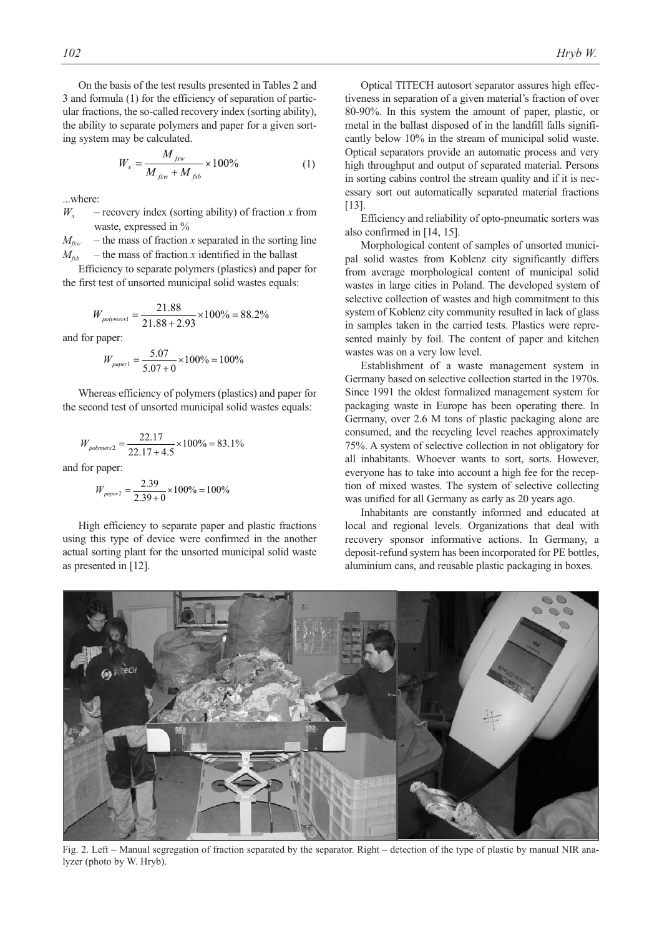On the basis of the test results presented in Tables 2 and

3 and formula (1) for the efficiency of separation of particular fractions, the so-called recovery index (sorting ability), the ability to separate polymers and paper for a given sorting system may be calculated.

$$
W_x = \frac{M_{f x w}}{M_{f x w} + M_{f x b}} \times 100\%
$$
 (1)

...where:

 $W_x$  – recovery index (sorting ability) of fraction *x* from waste, expressed in  $\%$ 

 $M_{\text{f}xw}$  – the mass of fraction *x* separated in the sorting line  $M_{f,k}$  – the mass of fraction *x* identified in the ballast

Efficiency to separate polymers (plastics) and paper for the first test of unsorted municipal solid wastes equals:

$$
W_{polymers1}=\frac{21.88}{21.88+2.93}{\times}100\%=88.2\%
$$

and for paper:

$$
W_{paper1} = \frac{5.07}{5.07 + 0} \times 100\% = 100\%
$$

Whereas efficiency of polymers (plastics) and paper for the second test of unsorted municipal solid wastes equals:

$$
W_{polymers2} = \frac{22.17}{22.17 + 4.5} \times 100\% = 83.1\%
$$

and for paper:

$$
W_{paper2} = \frac{2.39}{2.39 + 0} \times 100\% = 100\%
$$

High efficiency to separate paper and plastic fractions using this type of device were confirmed in the another actual sorting plant for the unsorted municipal solid waste as presented in [12].

Optical TITECH autosort separator assures high effectiveness in separation of a given material's fraction of over 80-90%. In this system the amount of paper, plastic, or metal in the ballast disposed of in the landfill falls significantly below 10% in the stream of municipal solid waste. Optical separators provide an automatic process and very high throughput and output of separated material. Persons in sorting cabins control the stream quality and if it is necessary sort out automatically separated material fractions [13].

Efficiency and reliability of opto-pneumatic sorters was also confirmed in [14, 15].

Morphological content of samples of unsorted municipal solid wastes from Koblenz city significantly differs from average morphological content of municipal solid wastes in large cities in Poland. The developed system of selective collection of wastes and high commitment to this system of Koblenz city community resulted in lack of glass in samples taken in the carried tests. Plastics were represented mainly by foil. The content of paper and kitchen wastes was on a very low level.

Establishment of a waste management system in Germany based on selective collection started in the 1970s. Since 1991 the oldest formalized management system for packaging waste in Europe has been operating there. In Germany, over 2.6 M tons of plastic packaging alone are consumed, and the recycling level reaches approximately 75%. A system of selective collection in not obligatory for all inhabitants. Whoever wants to sort, sorts. However, everyone has to take into account a high fee for the reception of mixed wastes. The system of selective collecting was unified for all Germany as early as 20 years ago.

Inhabitants are constantly informed and educated at local and regional levels. Organizations that deal with recovery sponsor informative actions. In Germany, a deposit-refund system has been incorporated for PE bottles, aluminium cans, and reusable plastic packaging in boxes.



Fig. 2. Left – Manual segregation of fraction separated by the separator. Right – detection of the type of plastic by manual NIR analyzer (photo by W. Hryb).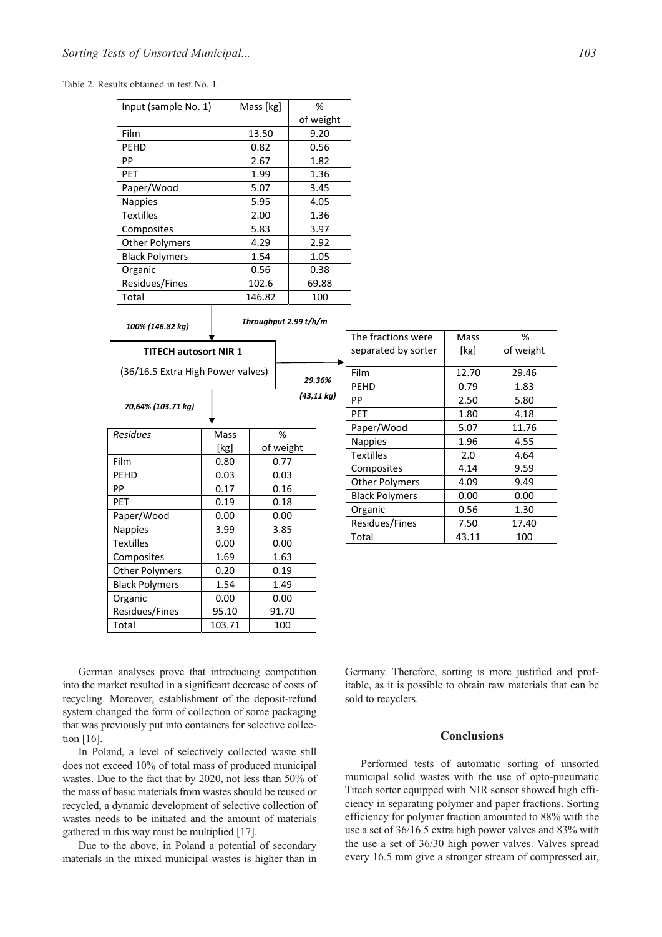## Table 2. Results obtained in test No. 1.

| Input (sample No. 1)  | Mass [kg] | %         |
|-----------------------|-----------|-----------|
|                       |           | of weight |
| Film                  | 13.50     | 9.20      |
| PEHD                  | 0.82      | 0.56      |
| PP                    | 2.67      | 1.82      |
| PET                   | 1.99      | 1.36      |
| Paper/Wood            | 5.07      | 3.45      |
| <b>Nappies</b>        | 5.95      | 4.05      |
| <b>Textilles</b>      | 2.00      | 1.36      |
| Composites            | 5.83      | 3.97      |
| <b>Other Polymers</b> | 4.29      | 2.92      |
| <b>Black Polymers</b> | 1.54      | 1.05      |
| Organic               | 0.56      | 0.38      |
| <b>Residues/Fines</b> | 102.6     | 69.88     |
| Total<br>т            | 146.82    | 100       |

*100% (146.82 kg)* 

*Throughput 2.99 t/h/m* 

|  | <b>TITECH autosort NIR 1</b><br>(36/16.5 Extra High Power valves) |  |        |  |  |           |            |
|--|-------------------------------------------------------------------|--|--------|--|--|-----------|------------|
|  |                                                                   |  |        |  |  | 29.36%    |            |
|  | 70,64% (103.71 kg)                                                |  |        |  |  |           | (43,11 kg) |
|  | <b>Residues</b>                                                   |  | Mass   |  |  | %         |            |
|  |                                                                   |  | [kg]   |  |  | of weight |            |
|  | Film                                                              |  | 0.80   |  |  | 0.77      |            |
|  | PEHD                                                              |  | 0.03   |  |  | 0.03      |            |
|  | РP                                                                |  | 0.17   |  |  | 0.16      |            |
|  | <b>PET</b>                                                        |  | 0.19   |  |  | 0.18      |            |
|  | Paper/Wood                                                        |  | 0.00   |  |  | 0.00      |            |
|  | <b>Nappies</b>                                                    |  | 3.99   |  |  | 3.85      |            |
|  | <b>Textilles</b>                                                  |  | 0.00   |  |  | 0.00      |            |
|  | Composites                                                        |  | 1.69   |  |  | 1.63      |            |
|  | <b>Other Polymers</b>                                             |  | 0.20   |  |  | 0.19      |            |
|  | <b>Black Polymers</b>                                             |  | 1.54   |  |  | 1.49      |            |
|  | Organic                                                           |  | 0.00   |  |  | 0.00      |            |
|  | Residues/Fines                                                    |  | 95.10  |  |  | 91.70     |            |
|  | Total                                                             |  | 103.71 |  |  | 100       |            |

| The fractions were    | Mass  | %         |
|-----------------------|-------|-----------|
| separated by sorter   | [kg]  | of weight |
|                       |       |           |
| Film                  | 12.70 | 29.46     |
| PEHD                  | 0.79  | 1.83      |
| PP                    | 2.50  | 5.80      |
| <b>PET</b>            | 1.80  | 4.18      |
| Paper/Wood            | 5.07  | 11.76     |
| <b>Nappies</b>        | 1.96  | 4.55      |
| <b>Textilles</b>      | 2.0   | 4.64      |
| Composites            | 4.14  | 9.59      |
| <b>Other Polymers</b> | 4.09  | 9.49      |
| <b>Black Polymers</b> | 0.00  | 0.00      |
| Organic               | 0.56  | 1.30      |
| Residues/Fines        | 7.50  | 17.40     |
| Total                 | 43.11 | 100       |

German analyses prove that introducing competition into the market resulted in a significant decrease of costs of recycling. Moreover, establishment of the deposit-refund system changed the form of collection of some packaging that was previously put into containers for selective collection [16].

In Poland, a level of selectively collected waste still does not exceed 10% of total mass of produced municipal wastes. Due to the fact that by 2020, not less than 50% of the mass of basic materials from wastes should be reused or recycled, a dynamic development of selective collection of wastes needs to be initiated and the amount of materials gathered in this way must be multiplied [17].

Due to the above, in Poland a potential of secondary materials in the mixed municipal wastes is higher than in Germany. Therefore, sorting is more justified and profitable, as it is possible to obtain raw materials that can be sold to recyclers.

## **Conclusions**

Performed tests of automatic sorting of unsorted municipal solid wastes with the use of opto-pneumatic Titech sorter equipped with NIR sensor showed high efficiency in separating polymer and paper fractions. Sorting efficiency for polymer fraction amounted to 88% with the use a set of 36/16.5 extra high power valves and 83% with the use a set of 36/30 high power valves. Valves spread every 16.5 mm give a stronger stream of compressed air,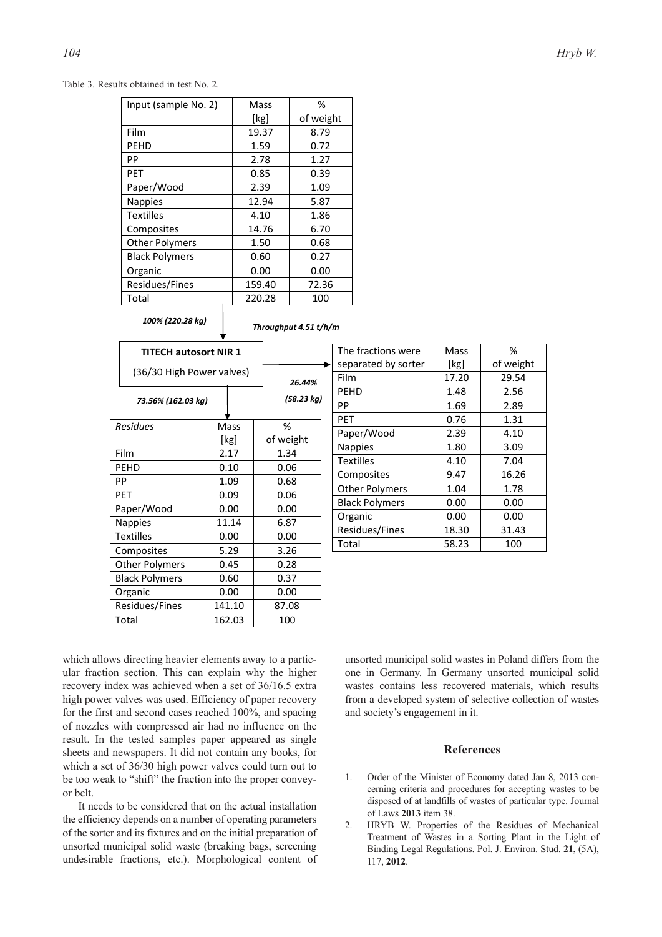Table 3. Results obtained in test No. 2.

| Input (sample No. 2)  | Mass   | %         |
|-----------------------|--------|-----------|
|                       | [kg]   | of weight |
| Film                  | 19.37  | 8.79      |
| PEHD                  | 1.59   | 0.72      |
| ΡP                    | 2.78   | 1.27      |
| PET                   | 0.85   | 0.39      |
| Paper/Wood            | 2.39   | 1.09      |
| <b>Nappies</b>        | 12.94  | 5.87      |
| <b>Textilles</b>      | 4.10   | 1.86      |
| Composites            | 14.76  | 6.70      |
| <b>Other Polymers</b> | 1.50   | 0.68      |
| <b>Black Polymers</b> | 0.60   | 0.27      |
| Organic               | 0.00   | 0.00      |
| Residues/Fines        | 159.40 | 72.36     |
| Total                 | 220.28 | 100       |

*Throughput 4.51 t/h/m 100% (220.28 kg)* 

| <b>TITECH autosort NIR 1</b> |        |  |            |
|------------------------------|--------|--|------------|
| (36/30 High Power valves)    | 26.44% |  |            |
| 73.56% (162.03 kg)           |        |  | (58.23 kg) |
| <b>Residues</b>              | Mass   |  | %          |
|                              | [kg]   |  | of weight  |
| Film                         | 2.17   |  | 1.34       |
| PFHD                         | 0.10   |  | 0.06       |
| РP                           | 1.09   |  | 0.68       |
| <b>PET</b>                   | 0.09   |  | 0.06       |
| Paper/Wood                   | 0.00   |  | 0.00       |
| <b>Nappies</b>               | 11.14  |  | 6.87       |
| <b>Textilles</b>             | 0.00   |  | 0.00       |
| Composites                   | 5.29   |  | 3.26       |
| <b>Other Polymers</b>        | 0.45   |  | 0.28       |
| <b>Black Polymers</b>        | 0.60   |  | 0.37       |
| Organic                      | 0.00   |  | 0.00       |
| <b>Residues/Fines</b>        | 141.10 |  | 87.08      |
| 162.03<br>Total              |        |  | 100        |

| The fractions were    | Mass  | %         |
|-----------------------|-------|-----------|
| separated by sorter   | [kg]  | of weight |
| Film                  | 17.20 | 29.54     |
| PEHD                  | 1.48  | 2.56      |
| PP                    | 1.69  | 2.89      |
| <b>PET</b>            | 0.76  | 1.31      |
| Paper/Wood            | 2.39  | 4.10      |
| <b>Nappies</b>        | 1.80  | 3.09      |
| <b>Textilles</b>      | 4.10  | 7.04      |
| Composites            | 9.47  | 16.26     |
| <b>Other Polymers</b> | 1.04  | 1.78      |
| <b>Black Polymers</b> | 0.00  | 0.00      |
| Organic               | 0.00  | 0.00      |
| <b>Residues/Fines</b> | 18.30 | 31.43     |
| Total                 | 58.23 | 100       |

which allows directing heavier elements away to a particular fraction section. This can explain why the higher recovery index was achieved when a set of 36/16.5 extra high power valves was used. Efficiency of paper recovery for the first and second cases reached 100%, and spacing of nozzles with compressed air had no influence on the result. In the tested samples paper appeared as single sheets and newspapers. It did not contain any books, for which a set of 36/30 high power valves could turn out to be too weak to "shift" the fraction into the proper conveyor belt.

It needs to be considered that on the actual installation the efficiency depends on a number of operating parameters of the sorter and its fixtures and on the initial preparation of unsorted municipal solid waste (breaking bags, screening undesirable fractions, etc.). Morphological content of unsorted municipal solid wastes in Poland differs from the one in Germany. In Germany unsorted municipal solid wastes contains less recovered materials, which results from a developed system of selective collection of wastes and society's engagement in it.

## **References**

- 1. Order of the Minister of Economy dated Jan 8, 2013 concerning criteria and procedures for accepting wastes to be disposed of at landfills of wastes of particular type. Journal of Laws **2013** item 38.
- 2. HRYB W. Properties of the Residues of Mechanical Treatment of Wastes in a Sorting Plant in the Light of Binding Legal Regulations. Pol. J. Environ. Stud. **21**, (5A), 117, **2012**.